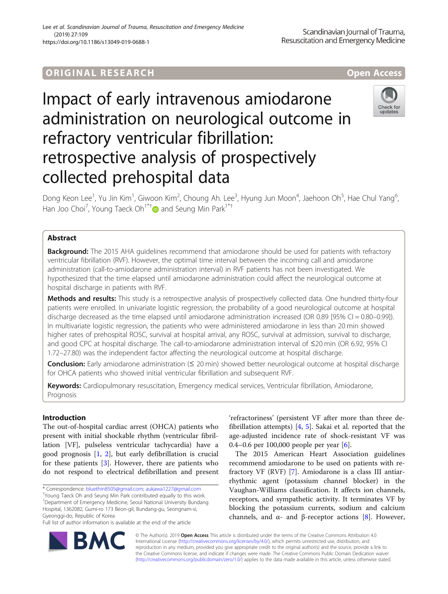# **ORIGINAL RESEARCH CORES EXECUTE OPEN ACCESS**

# Impact of early intravenous amiodarone administration on neurological outcome in refractory ventricular fibrillation: retrospective analysis of prospectively collected prehospital data

Dong Keon Lee<sup>1</sup>, Yu Jin Kim<sup>1</sup>, Giwoon Kim<sup>2</sup>, Choung Ah. Lee<sup>3</sup>, Hyung Jun Moon<sup>4</sup>, Jaehoon Oh<sup>5</sup>, Hae Chul Yang<sup>6</sup> י<br>, Han Joo Choi<sup>7</sup>, Young Taeck Oh<sup>1\*[†](http://orcid.org/0000-0002-9055-6250)</sup> and Seung Min Park<sup>1\*†</sup>

# Abstract

**Background:** The 2015 AHA guidelines recommend that amiodarone should be used for patients with refractory ventricular fibrillation (RVF). However, the optimal time interval between the incoming call and amiodarone administration (call-to-amiodarone administration interval) in RVF patients has not been investigated. We hypothesized that the time elapsed until amiodarone administration could affect the neurological outcome at hospital discharge in patients with RVF.

Methods and results: This study is a retrospective analysis of prospectively collected data. One hundred thirty-four patients were enrolled. In univariate logistic regression, the probability of a good neurological outcome at hospital discharge decreased as the time elapsed until amiodarone administration increased (OR 0.89 [95% CI = 0.80–0.99]). In multivariate logistic regression, the patients who were administered amiodarone in less than 20 min showed higher rates of prehospital ROSC, survival at hospital arrival, any ROSC, survival at admission, survival to discharge, and good CPC at hospital discharge. The call-to-amiodarone administration interval of ≤20 min (OR 6.92, 95% CI 1.72–27.80) was the independent factor affecting the neurological outcome at hospital discharge.

Conclusion: Early amiodarone administration (≤ 20 min) showed better neurological outcome at hospital discharge for OHCA patients who showed initial ventricular fibrillation and subsequent RVF.

Keywords: Cardiopulmonary resuscitation, Emergency medical services, Ventricular fibrillation, Amiodarone, Prognosis

# Introduction

The out-of-hospital cardiac arrest (OHCA) patients who present with initial shockable rhythm (ventricular fibrillation [VF], pulseless ventricular tachycardia) have a good prognosis [\[1](#page-6-0), [2\]](#page-6-0), but early defibrillation is crucial for these patients [\[3](#page-6-0)]. However, there are patients who do not respond to electrical defibrillation and present

\* Correspondence: [bluethin8505@gmail.com](mailto:bluethin8505@gmail.com); [aukawa1227@gmail.com](mailto:aukawa1227@gmail.com) †

Young Taeck Oh and Seung Min Park contributed equally to this work. <sup>1</sup>Department of Emergency Medicine, Seoul National University Bundang Hospital, 1362082, Gumi-ro 173 Beon-gil, Bundang-gu, Seongnam-si, Gyeonggi-do, Republic of Korea

Full list of author information is available at the end of the article

'refractoriness' (persistent VF after more than three defibrillation attempts) [[4,](#page-6-0) [5](#page-6-0)]. Sakai et al. reported that the age-adjusted incidence rate of shock-resistant VF was 0.4–0.6 per 100,000 people per year [\[6](#page-6-0)].

The 2015 American Heart Association guidelines recommend amiodarone to be used on patients with refractory VF (RVF) [\[7](#page-6-0)]. Amiodarone is a class III antiarrhythmic agent (potassium channel blocker) in the Vaughan-Williams classification. It affects ion channels, receptors, and sympathetic activity. It terminates VF by blocking the potassium currents, sodium and calcium channels, and  $\alpha$ - and β-receptor actions [[8\]](#page-6-0). However,

© The Author(s). 2019 **Open Access** This article is distributed under the terms of the Creative Commons Attribution 4.0 International License [\(http://creativecommons.org/licenses/by/4.0/](http://creativecommons.org/licenses/by/4.0/)), which permits unrestricted use, distribution, and reproduction in any medium, provided you give appropriate credit to the original author(s) and the source, provide a link to the Creative Commons license, and indicate if changes were made. The Creative Commons Public Domain Dedication waiver [\(http://creativecommons.org/publicdomain/zero/1.0/](http://creativecommons.org/publicdomain/zero/1.0/)) applies to the data made available in this article, unless otherwise stated.





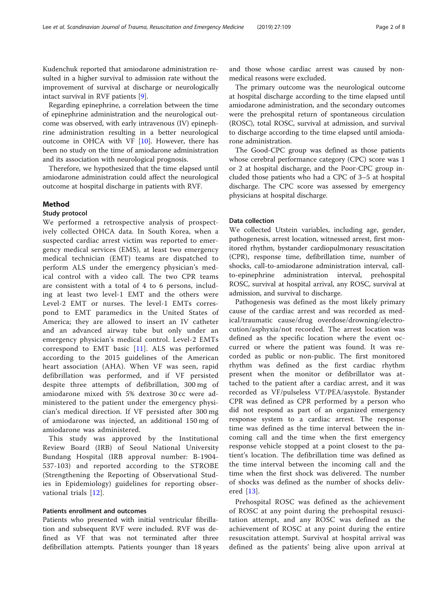Kudenchuk reported that amiodarone administration resulted in a higher survival to admission rate without the improvement of survival at discharge or neurologically intact survival in RVF patients [[9\]](#page-6-0).

Regarding epinephrine, a correlation between the time of epinephrine administration and the neurological outcome was observed, with early intravenous (IV) epinephrine administration resulting in a better neurological outcome in OHCA with VF [\[10](#page-7-0)]. However, there has been no study on the time of amiodarone administration and its association with neurological prognosis.

Therefore, we hypothesized that the time elapsed until amiodarone administration could affect the neurological outcome at hospital discharge in patients with RVF.

# Method

# Study protocol

We performed a retrospective analysis of prospectively collected OHCA data. In South Korea, when a suspected cardiac arrest victim was reported to emergency medical services (EMS), at least two emergency medical technician (EMT) teams are dispatched to perform ALS under the emergency physician's medical control with a video call. The two CPR teams are consistent with a total of 4 to 6 persons, including at least two level-1 EMT and the others were Level-2 EMT or nurses. The level-1 EMTs correspond to EMT paramedics in the United States of America; they are allowed to insert an IV catheter and an advanced airway tube but only under an emergency physician's medical control. Level-2 EMTs correspond to EMT basic [[11\]](#page-7-0). ALS was performed according to the 2015 guidelines of the American heart association (AHA). When VF was seen, rapid defibrillation was performed, and if VF persisted despite three attempts of defibrillation, 300 mg of amiodarone mixed with 5% dextrose 30 cc were administered to the patient under the emergency physician's medical direction. If VF persisted after 300 mg of amiodarone was injected, an additional 150 mg of amiodarone was administered.

This study was approved by the Institutional Review Board (IRB) of Seoul National University Bundang Hospital (IRB approval number: B-1904- 537-103) and reported according to the STROBE (Strengthening the Reporting of Observational Studies in Epidemiology) guidelines for reporting observational trials [[12\]](#page-7-0).

# Patients enrollment and outcomes

Patients who presented with initial ventricular fibrillation and subsequent RVF were included. RVF was defined as VF that was not terminated after three defibrillation attempts. Patients younger than 18 years and those whose cardiac arrest was caused by nonmedical reasons were excluded.

The primary outcome was the neurological outcome at hospital discharge according to the time elapsed until amiodarone administration, and the secondary outcomes were the prehospital return of spontaneous circulation (ROSC), total ROSC, survival at admission, and survival to discharge according to the time elapsed until amiodarone administration.

The Good-CPC group was defined as those patients whose cerebral performance category (CPC) score was 1 or 2 at hospital discharge, and the Poor-CPC group included those patients who had a CPC of 3–5 at hospital discharge. The CPC score was assessed by emergency physicians at hospital discharge.

#### Data collection

We collected Utstein variables, including age, gender, pathogenesis, arrest location, witnessed arrest, first monitored rhythm, bystander cardiopulmonary resuscitation (CPR), response time, defibrillation time, number of shocks, call-to-amiodarone administration interval, callto-epinephrine administration interval, prehospital ROSC, survival at hospital arrival, any ROSC, survival at admission, and survival to discharge.

Pathogenesis was defined as the most likely primary cause of the cardiac arrest and was recorded as medical/traumatic cause/drug overdose/drowning/electrocution/asphyxia/not recorded. The arrest location was defined as the specific location where the event occurred or where the patient was found. It was recorded as public or non-public. The first monitored rhythm was defined as the first cardiac rhythm present when the monitor or defibrillator was attached to the patient after a cardiac arrest, and it was recorded as VF/pulseless VT/PEA/asystole. Bystander CPR was defined as CPR performed by a person who did not respond as part of an organized emergency response system to a cardiac arrest. The response time was defined as the time interval between the incoming call and the time when the first emergency response vehicle stopped at a point closest to the patient's location. The defibrillation time was defined as the time interval between the incoming call and the time when the first shock was delivered. The number of shocks was defined as the number of shocks delivered [[13\]](#page-7-0).

Prehospital ROSC was defined as the achievement of ROSC at any point during the prehospital resuscitation attempt, and any ROSC was defined as the achievement of ROSC at any point during the entire resuscitation attempt. Survival at hospital arrival was defined as the patients' being alive upon arrival at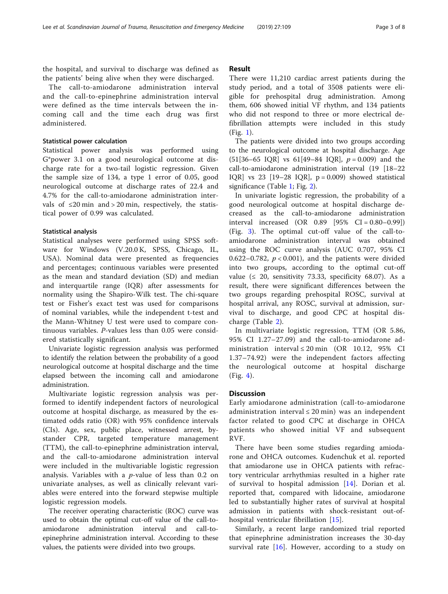the hospital, and survival to discharge was defined as the patients' being alive when they were discharged.

The call-to-amiodarone administration interval and the call-to-epinephrine administration interval were defined as the time intervals between the incoming call and the time each drug was first administered.

## Statistical power calculation

Statistical power analysis was performed using G\*power 3.1 on a good neurological outcome at discharge rate for a two-tail logistic regression. Given the sample size of 134, a type 1 error of 0.05, good neurological outcome at discharge rates of 22.4 and 4.7% for the call-to-amiodarone administration intervals of  $\leq 20$  min and > 20 min, respectively, the statistical power of 0.99 was calculated.

#### Statistical analysis

Statistical analyses were performed using SPSS software for Windows (V.20.0 K, SPSS, Chicago, IL, USA). Nominal data were presented as frequencies and percentages; continuous variables were presented as the mean and standard deviation (SD) and median and interquartile range (IQR) after assessments for normality using the Shapiro-Wilk test. The chi-square test or Fisher's exact test was used for comparisons of nominal variables, while the independent t-test and the Mann-Whitney U test were used to compare continuous variables. P-values less than 0.05 were considered statistically significant.

Univariate logistic regression analysis was performed to identify the relation between the probability of a good neurological outcome at hospital discharge and the time elapsed between the incoming call and amiodarone administration.

Multivariate logistic regression analysis was performed to identify independent factors of neurological outcome at hospital discharge, as measured by the estimated odds ratio (OR) with 95% confidence intervals (CIs). Age, sex, public place, witnessed arrest, bystander CPR, targeted temperature management (TTM), the call-to-epinephrine administration interval, and the call-to-amiodarone administration interval were included in the multivariable logistic regression analysis. Variables with a  $p$ -value of less than 0.2 on univariate analyses, as well as clinically relevant variables were entered into the forward stepwise multiple logistic regression models.

The receiver operating characteristic (ROC) curve was used to obtain the optimal cut-off value of the call-toamiodarone administration interval and call-toepinephrine administration interval. According to these values, the patients were divided into two groups.

# Result

There were 11,210 cardiac arrest patients during the study period, and a total of 3508 patients were eligible for prehospital drug administration. Among them, 606 showed initial VF rhythm, and 134 patients who did not respond to three or more electrical defibrillation attempts were included in this study (Fig. [1\)](#page-3-0).

The patients were divided into two groups according to the neurological outcome at hospital discharge. Age  $(51[36–65 \text{ IQR}] \text{ vs } 61[49–84 \text{ IQR}], p = 0.009)$  and the call-to-amiodarone administration interval (19 [18–22 IQR] vs 23 [19–28 IQR],  $p = 0.009$  showed statistical significance (Table [1](#page-4-0); Fig. [2\)](#page-4-0).

In univariate logistic regression, the probability of a good neurological outcome at hospital discharge decreased as the call-to-amiodarone administration interval increased (OR 0.89 [95% CI = 0.80–0.99]) (Fig. [3\)](#page-5-0). The optimal cut-off value of the call-toamiodarone administration interval was obtained using the ROC curve analysis (AUC 0.707, 95% CI 0.622–0.782,  $p < 0.001$ ), and the patients were divided into two groups, according to the optimal cut-off value ( $\leq$  20, sensitivity 73.33, specificity 68.07). As a result, there were significant differences between the two groups regarding prehospital ROSC, survival at hospital arrival, any ROSC, survival at admission, survival to discharge, and good CPC at hospital discharge (Table [2\)](#page-5-0).

In multivariate logistic regression, TTM (OR 5.86, 95% CI 1.27–27.09) and the call-to-amiodarone administration interval ≤ 20 min (OR 10.12, 95% CI 1.37–74.92) were the independent factors affecting the neurological outcome at hospital discharge (Fig. [4](#page-6-0)).

#### **Discussion**

Early amiodarone administration (call-to-amiodarone administration interval  $\leq$  20 min) was an independent factor related to good CPC at discharge in OHCA patients who showed initial VF and subsequent RVF.

There have been some studies regarding amiodarone and OHCA outcomes. Kudenchuk et al. reported that amiodarone use in OHCA patients with refractory ventricular arrhythmias resulted in a higher rate of survival to hospital admission [[14\]](#page-7-0). Dorian et al. reported that, compared with lidocaine, amiodarone led to substantially higher rates of survival at hospital admission in patients with shock-resistant out-ofhospital ventricular fibrillation [\[15](#page-7-0)].

Similarly, a recent large randomized trial reported that epinephrine administration increases the 30-day survival rate  $[16]$  $[16]$ . However, according to a study on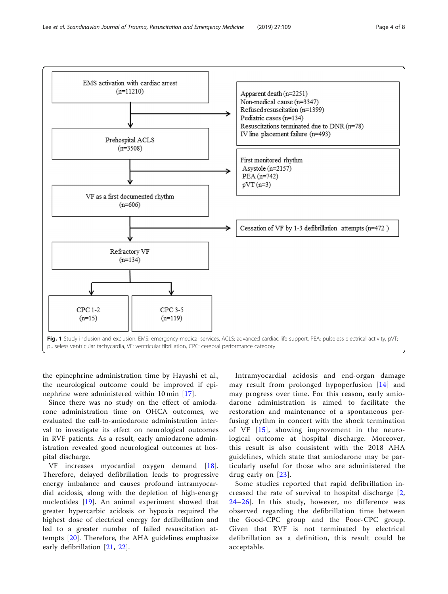<span id="page-3-0"></span>

the epinephrine administration time by Hayashi et al., the neurological outcome could be improved if epinephrine were administered within 10 min [\[17](#page-7-0)].

Since there was no study on the effect of amiodarone administration time on OHCA outcomes, we evaluated the call-to-amiodarone administration interval to investigate its effect on neurological outcomes in RVF patients. As a result, early amiodarone administration revealed good neurological outcomes at hospital discharge.

VF increases myocardial oxygen demand [\[18](#page-7-0)]. Therefore, delayed defibrillation leads to progressive energy imbalance and causes profound intramyocardial acidosis, along with the depletion of high-energy nucleotides [[19\]](#page-7-0). An animal experiment showed that greater hypercarbic acidosis or hypoxia required the highest dose of electrical energy for defibrillation and led to a greater number of failed resuscitation attempts [\[20](#page-7-0)]. Therefore, the AHA guidelines emphasize early defibrillation [[21](#page-7-0), [22](#page-7-0)].

Intramyocardial acidosis and end-organ damage may result from prolonged hypoperfusion [[14](#page-7-0)] and may progress over time. For this reason, early amiodarone administration is aimed to facilitate the restoration and maintenance of a spontaneous perfusing rhythm in concert with the shock termination of VF [[15](#page-7-0)], showing improvement in the neurological outcome at hospital discharge. Moreover, this result is also consistent with the 2018 AHA guidelines, which state that amiodarone may be particularly useful for those who are administered the drug early on [[23\]](#page-7-0).

Some studies reported that rapid defibrillation increased the rate of survival to hospital discharge [[2](#page-6-0), [24](#page-7-0)–[26\]](#page-7-0). In this study, however, no difference was observed regarding the defibrillation time between the Good-CPC group and the Poor-CPC group. Given that RVF is not terminated by electrical defibrillation as a definition, this result could be acceptable.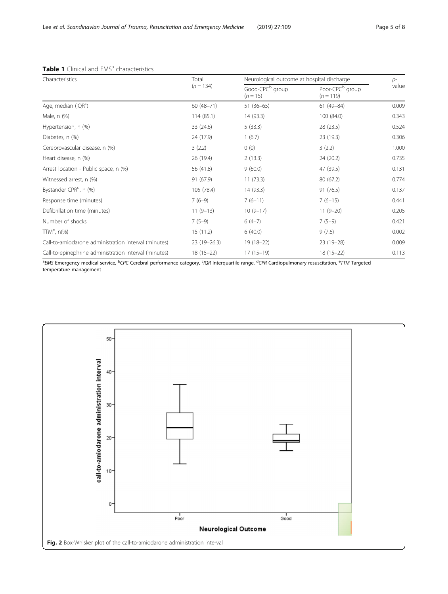| Characteristics                                       | Total           | Neurological outcome at hospital discharge | $p-$                                       |       |  |
|-------------------------------------------------------|-----------------|--------------------------------------------|--------------------------------------------|-------|--|
|                                                       | $(n = 134)$     | Good-CPC <sup>b</sup> group<br>$(n = 15)$  | Poor-CPC <sup>b</sup> group<br>$(n = 119)$ | value |  |
| Age, median (IQR <sup>c</sup> )                       | $60(48 - 71)$   | $51(36-65)$                                | $61(49 - 84)$                              | 0.009 |  |
| Male, n (%)                                           | 114(85.1)       | 14 (93.3)                                  | 100 (84.0)                                 | 0.343 |  |
| Hypertension, n (%)                                   | 33 (24.6)       | 5(33.3)                                    | 28 (23.5)                                  | 0.524 |  |
| Diabetes, n (%)                                       | 24 (17.9)       | 1(6.7)                                     | 23 (19.3)                                  | 0.306 |  |
| Cerebrovascular disease, n (%)                        | 3(2.2)          | 0(0)                                       | 3(2.2)                                     | 1.000 |  |
| Heart disease, n (%)                                  | 26 (19.4)       | 2(13.3)                                    | 24 (20.2)                                  | 0.735 |  |
| Arrest location - Public space, n (%)                 | 56 (41.8)       | 9(60.0)                                    | 47 (39.5)                                  | 0.131 |  |
| Witnessed arrest, n (%)                               | 91 (67.9)       | 11(73.3)                                   | 80 (67.2)                                  | 0.774 |  |
| Bystander CPR <sup>d</sup> , n (%)                    | 105 (78.4)      | 14 (93.3)                                  | 91 (76.5)                                  | 0.137 |  |
| Response time (minutes)                               | $7(6-9)$        | $7(6-11)$                                  | $7(6-15)$                                  | 0.441 |  |
| Defibrillation time (minutes)                         | $11(9-13)$      | $10(9-17)$                                 | $11(9-20)$                                 | 0.205 |  |
| Number of shocks                                      | $7(5-9)$        | $6(4-7)$                                   | $7(5-9)$                                   | 0.421 |  |
| $TTMe$ , n(%)                                         | 15(11.2)        | 6(40.0)                                    | 9(7.6)                                     | 0.002 |  |
| Call-to-amiodarone administration interval (minutes)  | $23(19 - 26.3)$ | $19(18-22)$                                | $23(19-28)$                                | 0.009 |  |
| Call-to-epinephrine administration interval (minutes) | $18(15-22)$     | $17(15-19)$                                | $18(15-22)$                                | 0.113 |  |

# <span id="page-4-0"></span>Table 1 Clinical and EMS<sup>a</sup> characteristics

<sup>a</sup>EMS Emergency medical service, <sup>b</sup>CPC Cerebral performance category, <sup>c</sup>IQR Interquartile range, <sup>d</sup>CPR Cardiopulmonary resuscitation, <sup>e</sup>TTM Targeted temperature management

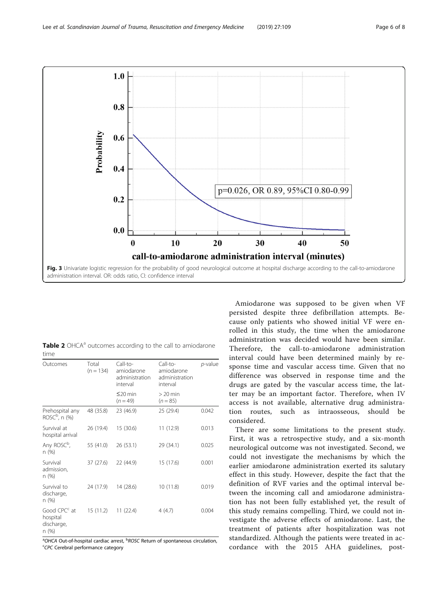<span id="page-5-0"></span>

|      |  |  |  | Table 2 OHCA <sup>a</sup> outcomes according to the call to amiodarone |  |
|------|--|--|--|------------------------------------------------------------------------|--|
| time |  |  |  |                                                                        |  |

| Outcomes                                                    | Total<br>$(n = 134)$ | Call-to-<br>amiodarone<br>administration<br>interval | Call-to-<br>amiodarone<br>administration<br>interval | p-value |
|-------------------------------------------------------------|----------------------|------------------------------------------------------|------------------------------------------------------|---------|
|                                                             |                      | $\leq$ 20 min<br>$(n = 49)$                          | $>20$ min<br>$(n = 85)$                              |         |
| Prehospital any<br>$ROSCb$ , n (%)                          | 48 (35.8)            | 23 (46.9)                                            | 25 (29.4)                                            | 0.042   |
| Survival at<br>hospital arrival                             | 26 (19.4)            | 15 (30.6)                                            | 11 (12.9)                                            | 0.013   |
| Any ROSC <sup>b</sup> ,<br>n (%)                            | 55 (41.0)            | 26 (53.1)                                            | 29 (34.1)                                            | 0.025   |
| Survival<br>admission,<br>n(%)                              | 37(27.6)             | 22 (44.9)                                            | 15 (17.6)                                            | 0.001   |
| Survival to<br>discharge,<br>n(%)                           | 24 (17.9)            | 14 (28.6)                                            | 10 (11.8)                                            | 0.019   |
| Good CPC <sup>c</sup> at<br>hospital<br>discharge,<br>n (%) | 15(11.2)             | 11(22.4)                                             | 4 (4.7)                                              | 0.004   |

<sup>a</sup>OHCA Out-of-hospital cardiac arrest, <sup>b</sup>ROSC Return of spontaneous circulation,<br><sup>SCDC</sup> Cerebral performance category CPC Cerebral performance category

Amiodarone was supposed to be given when VF persisted despite three defibrillation attempts. Because only patients who showed initial VF were enrolled in this study, the time when the amiodarone administration was decided would have been similar. Therefore, the call-to-amiodarone administration interval could have been determined mainly by response time and vascular access time. Given that no difference was observed in response time and the drugs are gated by the vascular access time, the latter may be an important factor. Therefore, when IV access is not available, alternative drug administration routes, such as intraosseous, should be considered.

There are some limitations to the present study. First, it was a retrospective study, and a six-month neurological outcome was not investigated. Second, we could not investigate the mechanisms by which the earlier amiodarone administration exerted its salutary effect in this study. However, despite the fact that the definition of RVF varies and the optimal interval between the incoming call and amiodarone administration has not been fully established yet, the result of this study remains compelling. Third, we could not investigate the adverse effects of amiodarone. Last, the treatment of patients after hospitalization was not standardized. Although the patients were treated in accordance with the 2015 AHA guidelines, post-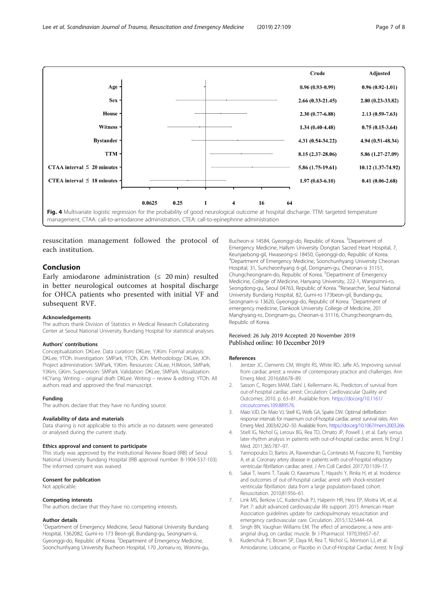<span id="page-6-0"></span>

resuscitation management followed the protocol of each institution.

# Conclusion

Early amiodarone administration  $(≤ 20 min)$  resulted in better neurological outcomes at hospital discharge for OHCA patients who presented with initial VF and subsequent RVF.

#### Acknowledgements

The authors thank Division of Statistics in Medical Research Collaborating Center at Seoul National University Bundang Hospital for statistical analyses.

#### Authors' contributions

Conceptualization: DKLee. Data curation: DKLee, YJKim. Formal analysis: DKLee, YTOh. Investigation: SMPark, YTOh, JOh. Methodology: DKLee, JOh. Project administration: SMPark, YJKim. Resources: CALee, HJMoon, SMPark, YJKim, GKim. Supervision: SMPark. Validation: DKLee, SMPark. Visualization: HCYang. Writing – original draft: DKLee. Writing – review & editing: YTOh. All authors read and approved the final manuscript.

#### Funding

The authors declare that they have no funding source.

#### Availability of data and materials

Data sharing is not applicable to this article as no datasets were generated or analysed during the current study.

# Ethics approval and consent to participate

This study was approved by the Institutional Review Board (IRB) of Seoul National University Bundang Hospital (IRB approval number: B-1904-537-103). The informed consent was waived.

# Consent for publication

Not applicable.

#### Competing interests

The authors declare that they have no competing interests.

#### Author details

<sup>1</sup>Department of Emergency Medicine, Seoul National University Bundang Hospital, 1362082, Gumi-ro 173 Beon-gil, Bundang-gu, Seongnam-si, Gyeonggi-do, Republic of Korea. <sup>2</sup>Department of Emergency Medicine, Soonchunhyang University Bucheon Hospital, 170 ,Jomaru-ro, Wonmi-gu,

Bucheon-si 14584, Gyeonggi-do, Republic of Korea. <sup>3</sup>Department of Emergency Medicine, Hallym University Dongtan Sacred Heart Hospital, 7, Keunjaebong-gil, Hwaseong-si 18450, Gyeonggi-do, Republic of Korea. 4 Department of Emergency Medicine, Soonchunhyang University Cheonan Hospital, 31, Suncheonhyang 6-gil, Dongnam-gu, Cheonan-si 31151, Chungcheongnam-do, Republic of Korea. <sup>5</sup>Department of Emergency Medicine, College of Medicine, Hanyang University, 222-1, Wangsimni-ro, Seongdong-gu, Seoul 04763, Republic of Korea. <sup>6</sup>Researcher, Seoul National University Bundang Hospital, 82, Gumi-ro 173beon-gil, Bundang-gu, Seongnam-si 13620, Gyeonggi-do, Republic of Korea. <sup>7</sup>Department of emergency medicine, Dankook University College of Medicine, 201 Manghyang-ro, Dongnam-gu, Cheonan-si 31116, Chungcheongnam-do, Republic of Korea.

## Received: 26 July 2019 Accepted: 20 November 2019 Published online: 10 December 2019

#### References

- 1. Jentzer JC, Clements CM, Wright RS, White RD, Jaffe AS. Improving survival from cardiac arrest: a review of contemporary practice and challenges. Ann Emerg Med. 2016;68:678–89.
- 2. Sasson C, Rogers MAM, Dahl J, Kellermann AL. Predictors of survival from out-of-hospital cardiac arrest: Circulation: Cardiovascular Quality and Outcomes; 2010. p. 63–81. Available from. [https://doi.org/10.1161/](https://doi.org/10.1161/circoutcomes.109.889576) [circoutcomes.109.889576.](https://doi.org/10.1161/circoutcomes.109.889576)
- 3. Maio VJD, De Maio VJ, Stiell IG, Wells GA, Spaite DW. Optimal defibrillation response intervals for maximum out-of-hospital cardiac arrest survival rates. Ann Emerg Med. 2003;42:242–50. Available from:. <https://doi.org/10.1067/mem.2003.266>.
- 4. Stiell IG, Nichol G, Leroux BG, Rea TD, Ornato JP, Powell J, et al. Early versus later rhythm analysis in patients with out-of-hospital cardiac arrest. N Engl J Med. 2011;365:787–97.
- 5. Yannopoulos D, Bartos JA, Raveendran G, Conterato M, Frascone RJ, Trembley A, et al. Coronary artery disease in patients with out-of-hospital refractory ventricular fibrillation cardiac arrest. J Am Coll Cardiol. 2017;70:1109–17.
- 6. Sakai T, Iwami T, Tasaki O, Kawamura T, Hayashi Y, Rinka H, et al. Incidence and outcomes of out-of-hospital cardiac arrest with shock-resistant ventricular fibrillation: data from a large population-based cohort. Resuscitation. 2010;81:956–61.
- 7. Link MS, Berkow LC, Kudenchuk PJ, Halperin HR, Hess EP, Moitra VK, et al. Part 7: adult advanced cardiovascular life support: 2015 American Heart Association guidelines update for cardiopulmonary resuscitation and emergency cardiovascular care. Circulation. 2015;132:S444–64.
- 8. Singh BN, Vaughan Williams EM. The effect of amiodarone, a new antianginal drug, on cardiac muscle. Br J Pharmacol. 1970;39:657–67.
- 9. Kudenchuk PJ, Brown SP, Daya M, Rea T, Nichol G, Morrison LJ, et al. Amiodarone, Lidocaine, or Placebo in Out-of-Hospital Cardiac Arrest. N Engl